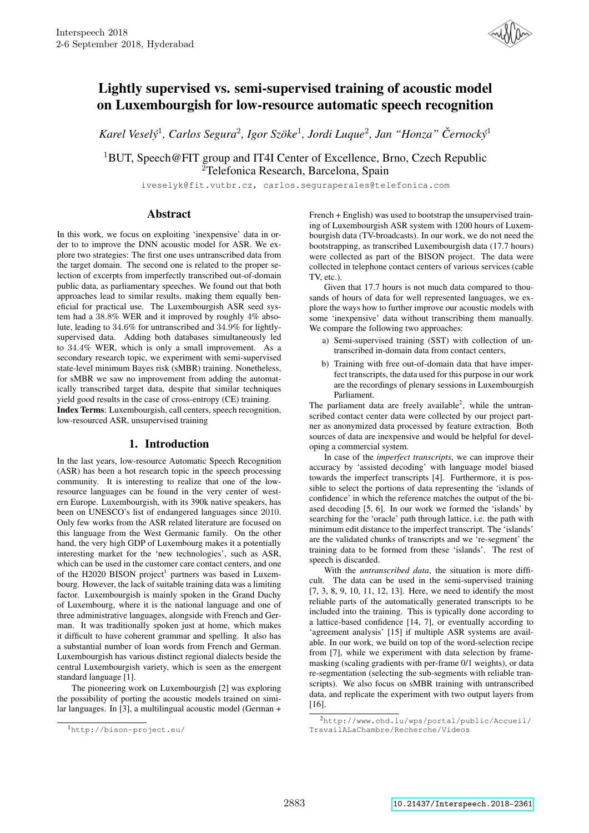

# Lightly supervised vs. semi-supervised training of acoustic model on Luxembourgish for low-resource automatic speech recognition

*Karel Vesely´* 1 *, Carlos Segura*<sup>2</sup> *, Igor Szoke ¨* 1 *, Jordi Luque*<sup>2</sup> *, Jan "Honza" Cernock ˇ y´* 1

<sup>1</sup>BUT, Speech@FIT group and IT4I Center of Excellence, Brno, Czech Republic <sup>2</sup>Telefonica Research, Barcelona, Spain

iveselyk@fit.vutbr.cz, carlos.seguraperales@telefonica.com

# **Abstract**

In this work, we focus on exploiting 'inexpensive' data in order to to improve the DNN acoustic model for ASR. We explore two strategies: The first one uses untranscribed data from the target domain. The second one is related to the proper selection of excerpts from imperfectly transcribed out-of-domain public data, as parliamentary speeches. We found out that both approaches lead to similar results, making them equally beneficial for practical use. The Luxembourgish ASR seed system had a 38.8% WER and it improved by roughly 4% absolute, leading to 34.6% for untranscribed and 34.9% for lightlysupervised data. Adding both databases simultaneously led to 34.4% WER, which is only a small improvement. As a secondary research topic, we experiment with semi-supervised state-level minimum Bayes risk (sMBR) training. Nonetheless, for sMBR we saw no improvement from adding the automatically transcribed target data, despite that similar techniques yield good results in the case of cross-entropy (CE) training.

Index Terms: Luxembourgish, call centers, speech recognition, low-resourced ASR, unsupervised training

# 1. Introduction

In the last years, low-resource Automatic Speech Recognition (ASR) has been a hot research topic in the speech processing community. It is interesting to realize that one of the lowresource languages can be found in the very center of western Europe. Luxembourgish, with its 390k native speakers, has been on UNESCO's list of endangered languages since 2010. Only few works from the ASR related literature are focused on this language from the West Germanic family. On the other hand, the very high GDP of Luxembourg makes it a potentially interesting market for the 'new technologies', such as ASR, which can be used in the customer care contact centers, and one of the H2020 BISON project<sup>1</sup> partners was based in Luxembourg. However, the lack of suitable training data was a limiting factor. Luxembourgish is mainly spoken in the Grand Duchy of Luxembourg, where it is the national language and one of three administrative languages, alongside with French and German. It was traditionally spoken just at home, which makes it difficult to have coherent grammar and spelling. It also has a substantial number of loan words from French and German. Luxembourgish has various distinct regional dialects beside the central Luxembourgish variety, which is seen as the emergent standard language [1].

The pioneering work on Luxembourgish [2] was exploring the possibility of porting the acoustic models trained on similar languages. In [3], a multilingual acoustic model (German +

French + English) was used to bootstrap the unsupervised training of Luxembourgish ASR system with 1200 hours of Luxembourgish data (TV-broadcasts). In our work, we do not need the bootstrapping, as transcribed Luxembourgish data (17.7 hours) were collected as part of the BISON project. The data were collected in telephone contact centers of various services (cable TV, etc.).

Given that 17.7 hours is not much data compared to thousands of hours of data for well represented languages, we explore the ways how to further improve our acoustic models with some 'inexpensive' data without transcribing them manually. We compare the following two approaches:

- a) Semi-supervised training (SST) with collection of untranscribed in-domain data from contact centers,
- b) Training with free out-of-domain data that have imperfect transcripts, the data used for this purpose in our work are the recordings of plenary sessions in Luxembourgish Parliament.

The parliament data are freely available<sup>2</sup>, while the untranscribed contact center data were collected by our project partner as anonymized data processed by feature extraction. Both sources of data are inexpensive and would be helpful for developing a commercial system.

In case of the *imperfect transcripts*, we can improve their accuracy by 'assisted decoding' with language model biased towards the imperfect transcripts [4]. Furthermore, it is possible to select the portions of data representing the 'islands of confidence' in which the reference matches the output of the biased decoding [5, 6]. In our work we formed the 'islands' by searching for the 'oracle' path through lattice, i.e. the path with minimum edit distance to the imperfect transcript. The 'islands' are the validated chunks of transcripts and we 're-segment' the training data to be formed from these 'islands'. The rest of speech is discarded.

With the *untranscribed data*, the situation is more difficult. The data can be used in the semi-supervised training [7, 3, 8, 9, 10, 11, 12, 13]. Here, we need to identify the most reliable parts of the automatically generated transcripts to be included into the training. This is typically done according to a lattice-based confidence [14, 7], or eventually according to 'agreement analysis' [15] if multiple ASR systems are available. In our work, we build on top of the word-selection recipe from [7], while we experiment with data selection by framemasking (scaling gradients with per-frame 0/1 weights), or data re-segmentation (selecting the sub-segments with reliable transcripts). We also focus on sMBR training with untranscribed data, and replicate the experiment with two output layers from [16].

<sup>1</sup>http://bison-project.eu/

<sup>2</sup>http://www.chd.lu/wps/portal/public/Accueil/ TravailALaChambre/Recherche/Videos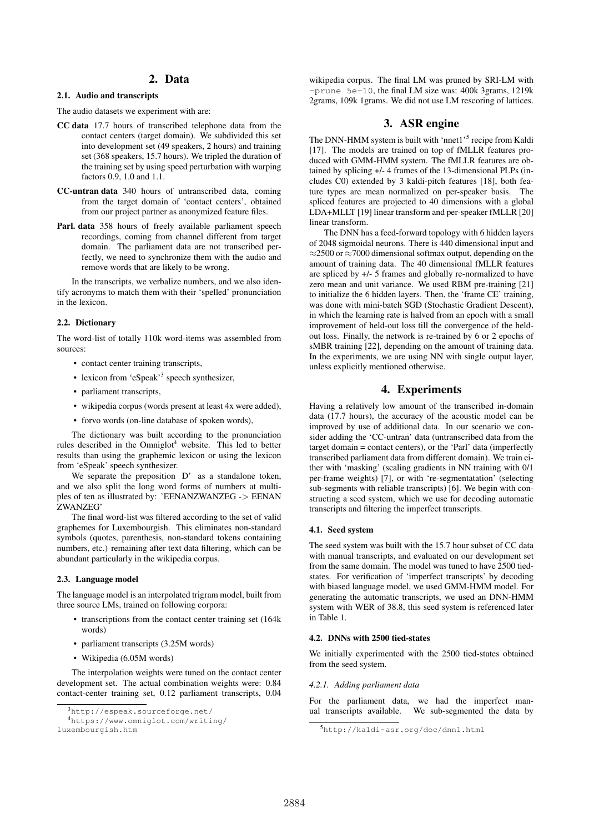# 2. Data

### 2.1. Audio and transcripts

The audio datasets we experiment with are:

- CC data 17.7 hours of transcribed telephone data from the contact centers (target domain). We subdivided this set into development set (49 speakers, 2 hours) and training set (368 speakers, 15.7 hours). We tripled the duration of the training set by using speed perturbation with warping factors 0.9, 1.0 and 1.1.
- CC-untran data 340 hours of untranscribed data, coming from the target domain of 'contact centers', obtained from our project partner as anonymized feature files.
- Parl. data 358 hours of freely available parliament speech recordings, coming from channel different from target domain. The parliament data are not transcribed perfectly, we need to synchronize them with the audio and remove words that are likely to be wrong.

In the transcripts, we verbalize numbers, and we also identify acronyms to match them with their 'spelled' pronunciation in the lexicon.

### 2.2. Dictionary

The word-list of totally 110k word-items was assembled from sources:

- contact center training transcripts,
- lexicon from 'eSpeak'<sup>3</sup> speech synthesizer,
- parliament transcripts,
- wikipedia corpus (words present at least 4x were added),
- forvo words (on-line database of spoken words),

The dictionary was built according to the pronunciation rules described in the  $Omniglot<sup>4</sup>$  website. This led to better results than using the graphemic lexicon or using the lexicon from 'eSpeak' speech synthesizer.

We separate the preposition D' as a standalone token, and we also split the long word forms of numbers at multiples of ten as illustrated by: 'EENANZWANZEG -> EENAN ZWANZEG'

The final word-list was filtered according to the set of valid graphemes for Luxembourgish. This eliminates non-standard symbols (quotes, parenthesis, non-standard tokens containing numbers, etc.) remaining after text data filtering, which can be abundant particularly in the wikipedia corpus.

### 2.3. Language model

The language model is an interpolated trigram model, built from three source LMs, trained on following corpora:

- transcriptions from the contact center training set (164k words)
- parliament transcripts (3.25M words)
- Wikipedia (6.05M words)

The interpolation weights were tuned on the contact center development set. The actual combination weights were: 0.84 contact-center training set, 0.12 parliament transcripts, 0.04

luxembourgish.htm

wikipedia corpus. The final LM was pruned by SRI-LM with -prune 5e-10, the final LM size was: 400k 3grams, 1219k 2grams, 109k 1grams. We did not use LM rescoring of lattices.

# 3. ASR engine

The DNN-HMM system is built with 'nnet1'<sup>5</sup> recipe from Kaldi [17]. The models are trained on top of fMLLR features produced with GMM-HMM system. The fMLLR features are obtained by splicing +/- 4 frames of the 13-dimensional PLPs (includes C0) extended by 3 kaldi-pitch features [18], both feature types are mean normalized on per-speaker basis. The spliced features are projected to 40 dimensions with a global LDA+MLLT [19] linear transform and per-speaker fMLLR [20] linear transform.

The DNN has a feed-forward topology with 6 hidden layers of 2048 sigmoidal neurons. There is 440 dimensional input and ≈2500 or ≈7000 dimensional softmax output, depending on the amount of training data. The 40 dimensional fMLLR features are spliced by +/- 5 frames and globally re-normalized to have zero mean and unit variance. We used RBM pre-training [21] to initialize the 6 hidden layers. Then, the 'frame CE' training, was done with mini-batch SGD (Stochastic Gradient Descent), in which the learning rate is halved from an epoch with a small improvement of held-out loss till the convergence of the heldout loss. Finally, the network is re-trained by 6 or 2 epochs of sMBR training [22], depending on the amount of training data. In the experiments, we are using NN with single output layer, unless explicitly mentioned otherwise.

# 4. Experiments

Having a relatively low amount of the transcribed in-domain data (17.7 hours), the accuracy of the acoustic model can be improved by use of additional data. In our scenario we consider adding the 'CC-untran' data (untranscribed data from the target domain = contact centers), or the 'Parl' data (imperfectly transcribed parliament data from different domain). We train either with 'masking' (scaling gradients in NN training with 0/1 per-frame weights) [7], or with 're-segmentatation' (selecting sub-segments with reliable transcripts) [6]. We begin with constructing a seed system, which we use for decoding automatic transcripts and filtering the imperfect transcripts.

### 4.1. Seed system

The seed system was built with the 15.7 hour subset of CC data with manual transcripts, and evaluated on our development set from the same domain. The model was tuned to have 2500 tiedstates. For verification of 'imperfect transcripts' by decoding with biased language model, we used GMM-HMM model. For generating the automatic transcripts, we used an DNN-HMM system with WER of 38.8, this seed system is referenced later in Table 1.

## 4.2. DNNs with 2500 tied-states

We initially experimented with the 2500 tied-states obtained from the seed system.

## *4.2.1. Adding parliament data*

For the parliament data, we had the imperfect manual transcripts available. We sub-segmented the data by

<sup>3</sup>http://espeak.sourceforge.net/

<sup>4</sup>https://www.omniglot.com/writing/

<sup>5</sup>http://kaldi-asr.org/doc/dnn1.html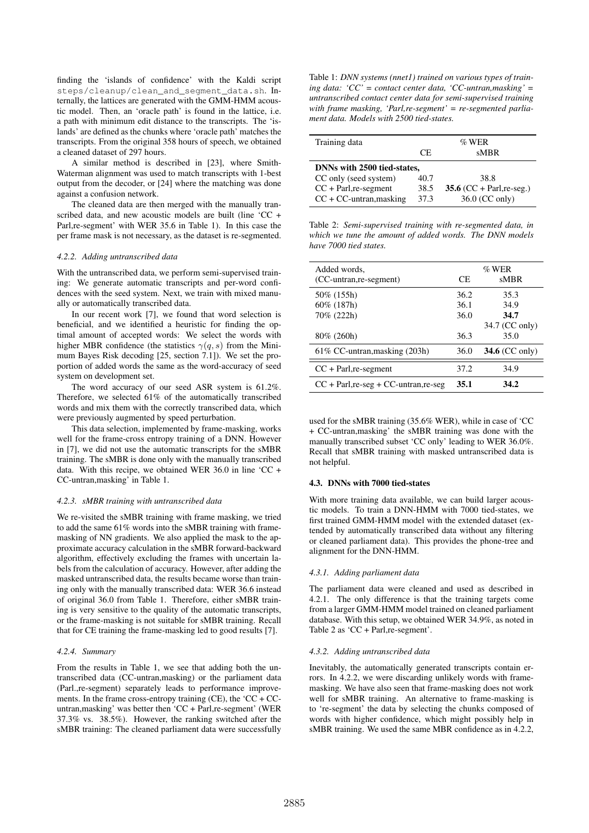finding the 'islands of confidence' with the Kaldi script steps/cleanup/clean\_and\_segment\_data.sh. Internally, the lattices are generated with the GMM-HMM acoustic model. Then, an 'oracle path' is found in the lattice, i.e. a path with minimum edit distance to the transcripts. The 'islands' are defined as the chunks where 'oracle path' matches the transcripts. From the original 358 hours of speech, we obtained a cleaned dataset of 297 hours.

A similar method is described in [23], where Smith-Waterman alignment was used to match transcripts with 1-best output from the decoder, or [24] where the matching was done against a confusion network.

The cleaned data are then merged with the manually transcribed data, and new acoustic models are built (line 'CC + Parl,re-segment' with WER 35.6 in Table 1). In this case the per frame mask is not necessary, as the dataset is re-segmented.

#### *4.2.2. Adding untranscribed data*

With the untranscribed data, we perform semi-supervised training: We generate automatic transcripts and per-word confidences with the seed system. Next, we train with mixed manually or automatically transcribed data.

In our recent work [7], we found that word selection is beneficial, and we identified a heuristic for finding the optimal amount of accepted words: We select the words with higher MBR confidence (the statistics  $\gamma(q, s)$  from the Minimum Bayes Risk decoding [25, section 7.1]). We set the proportion of added words the same as the word-accuracy of seed system on development set.

The word accuracy of our seed ASR system is 61.2%. Therefore, we selected 61% of the automatically transcribed words and mix them with the correctly transcribed data, which were previously augmented by speed perturbation.

This data selection, implemented by frame-masking, works well for the frame-cross entropy training of a DNN. However in [7], we did not use the automatic transcripts for the sMBR training. The sMBR is done only with the manually transcribed data. With this recipe, we obtained WER 36.0 in line 'CC + CC-untran,masking' in Table 1.

### *4.2.3. sMBR training with untranscribed data*

We re-visited the sMBR training with frame masking, we tried to add the same 61% words into the sMBR training with framemasking of NN gradients. We also applied the mask to the approximate accuracy calculation in the sMBR forward-backward algorithm, effectively excluding the frames with uncertain labels from the calculation of accuracy. However, after adding the masked untranscribed data, the results became worse than training only with the manually transcribed data: WER 36.6 instead of original 36.0 from Table 1. Therefore, either sMBR training is very sensitive to the quality of the automatic transcripts, or the frame-masking is not suitable for sMBR training. Recall that for CE training the frame-masking led to good results [7].

#### *4.2.4. Summary*

From the results in Table 1, we see that adding both the untranscribed data (CC-untran,masking) or the parliament data (Parl.,re-segment) separately leads to performance improvements. In the frame cross-entropy training (CE), the  $^{\circ}$ CC + CCuntran,masking' was better then 'CC + Parl,re-segment' (WER 37.3% vs. 38.5%). However, the ranking switched after the sMBR training: The cleaned parliament data were successfully

Table 1: *DNN systems (nnet1) trained on various types of training data: 'CC' = contact center data, 'CC-untran,masking' = untranscribed contact center data for semi-supervised training with frame masking, 'Parl,re-segment' = re-segmented parliament data. Models with 2500 tied-states.*

| Training data               | $\%$ WER |                             |  |  |
|-----------------------------|----------|-----------------------------|--|--|
|                             | CE.      | sMBR                        |  |  |
| DNNs with 2500 tied-states, |          |                             |  |  |
| CC only (seed system)       | 40.7     | 38.8                        |  |  |
| $CC + Parl, re-segment$     | 38.5     | 35.6 $(CC + Parl, re-seg.)$ |  |  |
| $CC + CC$ -untran, masking  | 37.3     | 36.0 (CC only)              |  |  |

Table 2: *Semi-supervised training with re-segmented data, in which we tune the amount of added words. The DNN models have 7000 tied states.*

| Added words.                            | $\%$ WER |                |
|-----------------------------------------|----------|----------------|
| (CC-untran, re-segment)                 | CE.      | sMBR           |
| 50% (155h)                              | 36.2     | 35.3           |
| 60% (187h)                              | 36.1     | 34.9           |
| 70% (222h)                              | 36.0     | 34.7           |
|                                         |          | 34.7 (CC only) |
| $80\%$ (260h)                           | 36.3     | 35.0           |
| 61% CC-untran, masking (203h)           | 36.0     | 34.6 (CC only) |
| $CC + Par1, re-segment$                 | 37.2     | 34.9           |
| $CC + Par1, re-seg + CC-untran, re-seg$ | 35.1     | 34.2           |

used for the sMBR training (35.6% WER), while in case of 'CC + CC-untran,masking' the sMBR training was done with the manually transcribed subset 'CC only' leading to WER 36.0%. Recall that sMBR training with masked untranscribed data is not helpful.

## 4.3. DNNs with 7000 tied-states

With more training data available, we can build larger acoustic models. To train a DNN-HMM with 7000 tied-states, we first trained GMM-HMM model with the extended dataset (extended by automatically transcribed data without any filtering or cleaned parliament data). This provides the phone-tree and alignment for the DNN-HMM.

### *4.3.1. Adding parliament data*

The parliament data were cleaned and used as described in 4.2.1. The only difference is that the training targets come from a larger GMM-HMM model trained on cleaned parliament database. With this setup, we obtained WER 34.9%, as noted in Table 2 as 'CC + Parl,re-segment'.

#### *4.3.2. Adding untranscribed data*

Inevitably, the automatically generated transcripts contain errors. In 4.2.2, we were discarding unlikely words with framemasking. We have also seen that frame-masking does not work well for sMBR training. An alternative to frame-masking is to 're-segment' the data by selecting the chunks composed of words with higher confidence, which might possibly help in sMBR training. We used the same MBR confidence as in 4.2.2,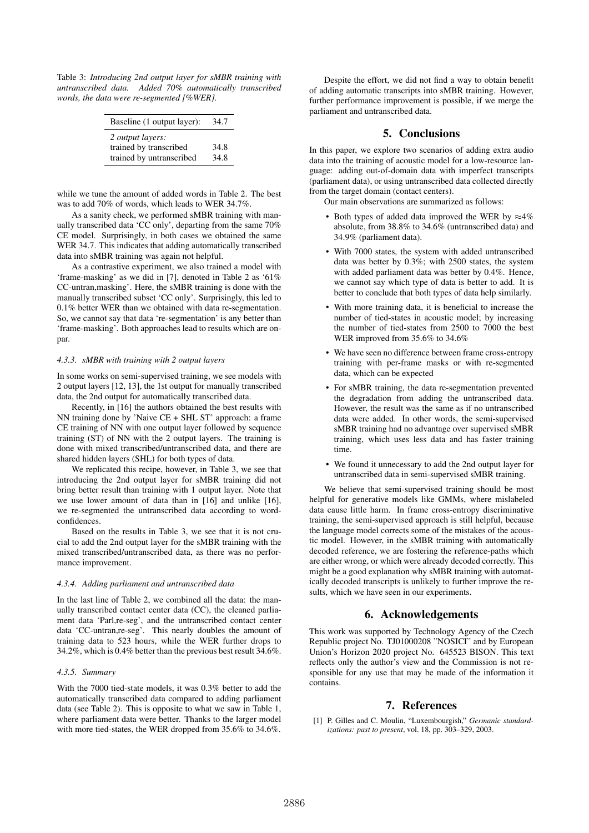Table 3: *Introducing 2nd output layer for sMBR training with untranscribed data. Added 70% automatically transcribed words, the data were re-segmented [%WER].*

| Baseline (1 output layer):                                                    | 34.7         |
|-------------------------------------------------------------------------------|--------------|
| 2 <i>output layers:</i><br>trained by transcribed<br>trained by untranscribed | 34.8<br>34.8 |

while we tune the amount of added words in Table 2. The best was to add 70% of words, which leads to WER 34.7%.

As a sanity check, we performed sMBR training with manually transcribed data 'CC only', departing from the same 70% CE model. Surprisingly, in both cases we obtained the same WER 34.7. This indicates that adding automatically transcribed data into sMBR training was again not helpful.

As a contrastive experiment, we also trained a model with 'frame-masking' as we did in [7], denoted in Table 2 as '61% CC-untran,masking'. Here, the sMBR training is done with the manually transcribed subset 'CC only'. Surprisingly, this led to 0.1% better WER than we obtained with data re-segmentation. So, we cannot say that data 're-segmentation' is any better than 'frame-masking'. Both approaches lead to results which are onpar.

### *4.3.3. sMBR with training with 2 output layers*

In some works on semi-supervised training, we see models with 2 output layers [12, 13], the 1st output for manually transcribed data, the 2nd output for automatically transcribed data.

Recently, in [16] the authors obtained the best results with NN training done by 'Naive CE + SHL ST' approach: a frame CE training of NN with one output layer followed by sequence training (ST) of NN with the 2 output layers. The training is done with mixed transcribed/untranscribed data, and there are shared hidden layers (SHL) for both types of data.

We replicated this recipe, however, in Table 3, we see that introducing the 2nd output layer for sMBR training did not bring better result than training with 1 output layer. Note that we use lower amount of data than in [16] and unlike [16], we re-segmented the untranscribed data according to wordconfidences.

Based on the results in Table 3, we see that it is not crucial to add the 2nd output layer for the sMBR training with the mixed transcribed/untranscribed data, as there was no performance improvement.

#### *4.3.4. Adding parliament and untranscribed data*

In the last line of Table 2, we combined all the data: the manually transcribed contact center data (CC), the cleaned parliament data 'Parl,re-seg', and the untranscribed contact center data 'CC-untran,re-seg'. This nearly doubles the amount of training data to 523 hours, while the WER further drops to 34.2%, which is 0.4% better than the previous best result 34.6%.

### *4.3.5. Summary*

With the 7000 tied-state models, it was 0.3% better to add the automatically transcribed data compared to adding parliament data (see Table 2). This is opposite to what we saw in Table 1, where parliament data were better. Thanks to the larger model with more tied-states, the WER dropped from 35.6% to 34.6%.

Despite the effort, we did not find a way to obtain benefit of adding automatic transcripts into sMBR training. However, further performance improvement is possible, if we merge the parliament and untranscribed data.

# 5. Conclusions

In this paper, we explore two scenarios of adding extra audio data into the training of acoustic model for a low-resource language: adding out-of-domain data with imperfect transcripts (parliament data), or using untranscribed data collected directly from the target domain (contact centers).

Our main observations are summarized as follows:

- Both types of added data improved the WER by  $\approx 4\%$ absolute, from 38.8% to 34.6% (untranscribed data) and 34.9% (parliament data).
- With 7000 states, the system with added untranscribed data was better by 0.3%; with 2500 states, the system with added parliament data was better by 0.4%. Hence, we cannot say which type of data is better to add. It is better to conclude that both types of data help similarly.
- With more training data, it is beneficial to increase the number of tied-states in acoustic model; by increasing the number of tied-states from 2500 to 7000 the best WER improved from 35.6% to 34.6%
- We have seen no difference between frame cross-entropy training with per-frame masks or with re-segmented data, which can be expected
- For sMBR training, the data re-segmentation prevented the degradation from adding the untranscribed data. However, the result was the same as if no untranscribed data were added. In other words, the semi-supervised sMBR training had no advantage over supervised sMBR training, which uses less data and has faster training time.
- We found it unnecessary to add the 2nd output layer for untranscribed data in semi-supervised sMBR training.

We believe that semi-supervised training should be most helpful for generative models like GMMs, where mislabeled data cause little harm. In frame cross-entropy discriminative training, the semi-supervised approach is still helpful, because the language model corrects some of the mistakes of the acoustic model. However, in the sMBR training with automatically decoded reference, we are fostering the reference-paths which are either wrong, or which were already decoded correctly. This might be a good explanation why sMBR training with automatically decoded transcripts is unlikely to further improve the results, which we have seen in our experiments.

# 6. Acknowledgements

This work was supported by Technology Agency of the Czech Republic project No. TJ01000208 "NOSICI" and by European Union's Horizon 2020 project No. 645523 BISON. This text reflects only the author's view and the Commission is not responsible for any use that may be made of the information it contains.

# 7. References

[1] P. Gilles and C. Moulin, "Luxembourgish," *Germanic standardizations: past to present*, vol. 18, pp. 303–329, 2003.